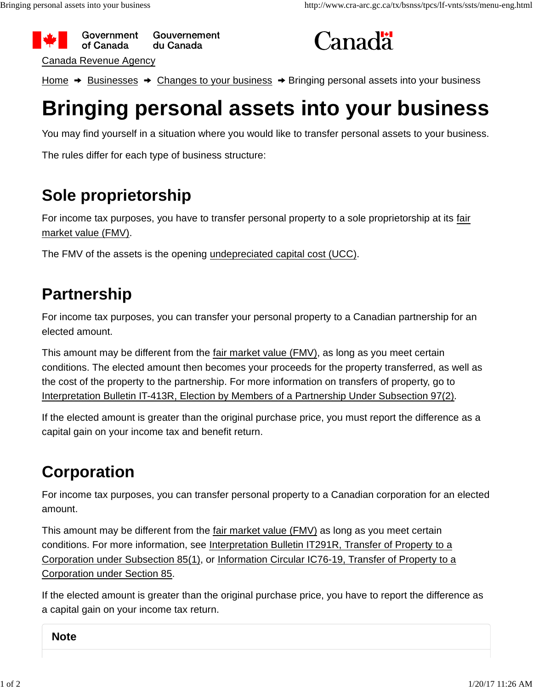



Home  $\rightarrow$  Businesses  $\rightarrow$  Changes to your business  $\rightarrow$  Bringing personal assets into your business

# **Bringing personal assets into your business**

You may find yourself in a situation where you would like to transfer personal assets to your business.

The rules differ for each type of business structure:

# **Sole proprietorship**

For income tax purposes, you have to transfer personal property to a sole proprietorship at its fair market value (FMV).

The FMV of the assets is the opening undepreciated capital cost (UCC).

### **Partnership**

For income tax purposes, you can transfer your personal property to a Canadian partnership for an elected amount.

This amount may be different from the fair market value (FMV), as long as you meet certain conditions. The elected amount then becomes your proceeds for the property transferred, as well as the cost of the property to the partnership. For more information on transfers of property, go to Interpretation Bulletin IT-413R, Election by Members of a Partnership Under Subsection 97(2).

If the elected amount is greater than the original purchase price, you must report the difference as a capital gain on your income tax and benefit return.

# **Corporation**

For income tax purposes, you can transfer personal property to a Canadian corporation for an elected amount.

This amount may be different from the fair market value (FMV) as long as you meet certain conditions. For more information, see Interpretation Bulletin IT291R, Transfer of Property to a Corporation under Subsection 85(1), or Information Circular IC76-19, Transfer of Property to a Corporation under Section 85.

If the elected amount is greater than the original purchase price, you have to report the difference as a capital gain on your income tax return.

**Note**